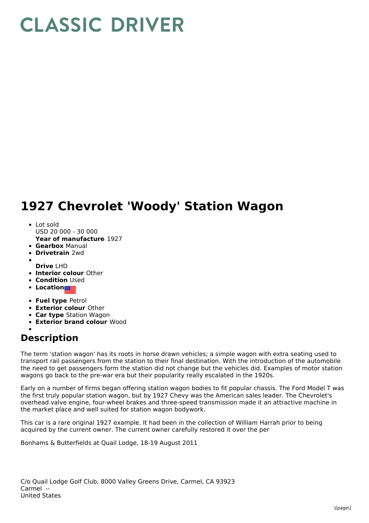## **CLASSIC DRIVER**

## **1927 Chevrolet 'Woody' Station Wagon**

- **Year of manufacture** 1927 • Lot sold USD 20 000 - 30 000
- 
- **Gearbox** Manual **Drivetrain** 2wd
- 
- **Drive** LHD
- **Interior colour** Other
- **Condition** Used
- Location**nes**
- **Fuel type** Petrol
- **Exterior colour** Other
- **Car type** Station Wagon
- **Exterior brand colour** Wood
- 

## **Description**

The term 'station wagon' has its roots in horse drawn vehicles; a simple wagon with extra seating used to transport rail passengers from the station to their final destination. With the introduction of the automobile the need to get passengers form the station did not change but the vehicles did. Examples of motor station wagons go back to the pre-war era but their popularity really escalated in the 1920s.

Early on a number of firms began offering station wagon bodies to fit popular chassis. The Ford Model T was the first truly popular station wagon, but by 1927 Chevy was the American sales leader. The Chevrolet's overhead valve engine, four-wheel brakes and three-speed transmission made it an attractive machine in the market place and well suited for station wagon bodywork.

This car is a rare original 1927 example. It had been in the collection of William Harrah prior to being acquired by the current owner. The current owner carefully restored it over the per

Bonhams & Butterfields at Quail Lodge, 18-19 August 2011